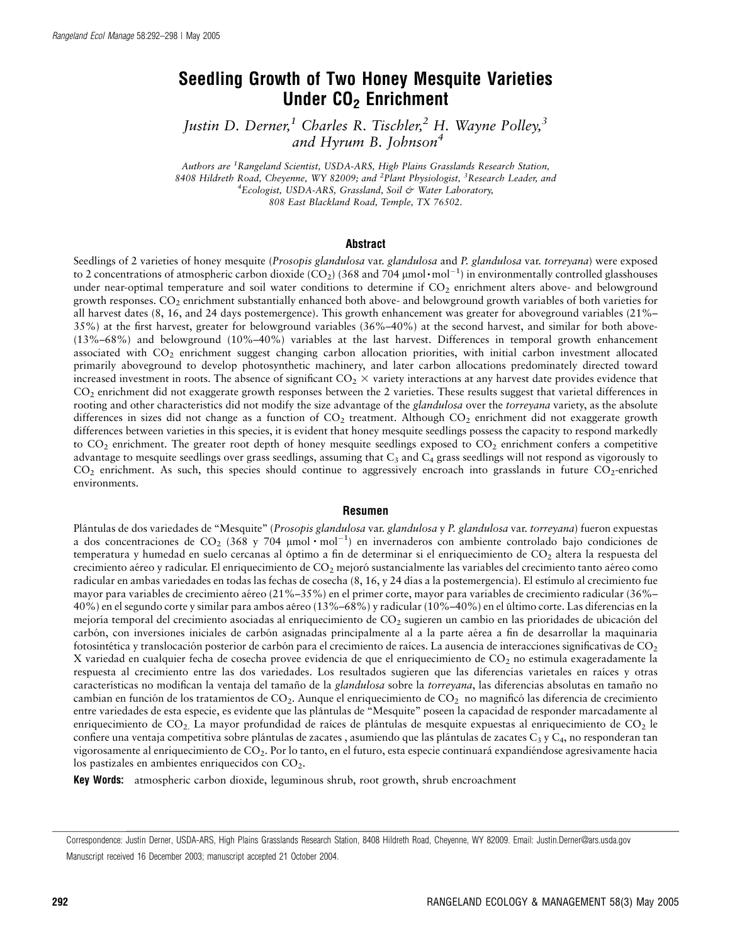# Seedling Growth of Two Honey Mesquite Varieties Under CO<sub>2</sub> Enrichment

Justin D. Derner,<sup>1</sup> Charles R. Tischler,<sup>2</sup> H. Wayne Polley,<sup>3</sup> and Hyrum B. Johnson<sup>4</sup>

Authors are <sup>1</sup> Rangeland Scientist, USDA-ARS, High Plains Grasslands Research Station, 8408 Hildreth Road, Cheyenne, WY 82009; and <sup>2</sup>Plant Physiologist, <sup>3</sup>Research Leader, and <sup>4</sup>Ecologist, USDA-ARS, Grassland, Soil & Water Laboratory, 808 East Blackland Road, Temple, TX 76502.

#### Abstract

Seedlings of 2 varieties of honey mesquite (Prosopis glandulosa var. glandulosa and P. glandulosa var. torreyana) were exposed to 2 concentrations of atmospheric carbon dioxide (CO<sub>2</sub>) (368 and 704  $\mu$ mol·mol<sup>-1</sup>) in environmentally controlled glasshouses under near-optimal temperature and soil water conditions to determine if CO<sub>2</sub> enrichment alters above- and belowground growth responses. CO2 enrichment substantially enhanced both above- and belowground growth variables of both varieties for all harvest dates (8, 16, and 24 days postemergence). This growth enhancement was greater for aboveground variables (21%– 35%) at the first harvest, greater for belowground variables (36%–40%) at the second harvest, and similar for both above- (13%–68%) and belowground (10%–40%) variables at the last harvest. Differences in temporal growth enhancement associated with CO<sub>2</sub> enrichment suggest changing carbon allocation priorities, with initial carbon investment allocated primarily aboveground to develop photosynthetic machinery, and later carbon allocations predominately directed toward increased investment in roots. The absence of significant  $CO<sub>2</sub> \times$  variety interactions at any harvest date provides evidence that CO2 enrichment did not exaggerate growth responses between the 2 varieties. These results suggest that varietal differences in rooting and other characteristics did not modify the size advantage of the glandulosa over the torreyana variety, as the absolute differences in sizes did not change as a function of  $CO<sub>2</sub>$  treatment. Although  $CO<sub>2</sub>$  enrichment did not exaggerate growth differences between varieties in this species, it is evident that honey mesquite seedlings possess the capacity to respond markedly to  $CO<sub>2</sub>$  enrichment. The greater root depth of honey mesquite seedlings exposed to  $CO<sub>2</sub>$  enrichment confers a competitive advantage to mesquite seedlings over grass seedlings, assuming that  $C_3$  and  $C_4$  grass seedlings will not respond as vigorously to  $CO<sub>2</sub>$  enrichment. As such, this species should continue to aggressively encroach into grasslands in future  $CO<sub>2</sub>$ -enriched environments.

#### Resumen

Plántulas de dos variedades de "Mesquite" (Prosopis glandulosa var. glandulosa y P. glandulosa var. torreyana) fueron expuestas a dos concentraciones de CO<sub>2</sub> (368 y 704 µmol·mol<sup>-1</sup>) en invernaderos con ambiente controlado bajo condiciones de temperatura y humedad en suelo cercanas al óptimo a fin de determinar si el enriquecimiento de CO2 altera la respuesta del crecimiento aéreo y radicular. El enriquecimiento de CO<sub>2</sub> mejoró sustancialmente las variables del crecimiento tanto aéreo como radicular en ambas variedades en todas las fechas de cosecha (8, 16, y 24 días a la postemergencia). El estímulo al crecimiento fue mayor para variables de crecimiento aéreo (21%–35%) en el primer corte, mayor para variables de crecimiento radicular (36%– 40%) en el segundo corte y similar para ambos ae´reo (13%–68%) y radicular (10%–40%) en el u´ltimo corte. Las diferencias en la mejoría temporal del crecimiento asociadas al enriquecimiento de  $CO<sub>2</sub>$  sugieren un cambio en las prioridades de ubicación del carbón, con inversiones iniciales de carbón asignadas principalmente al a la parte aérea a fin de desarrollar la maquinaria fotosintética y translocación posterior de carbón para el crecimiento de raíces. La ausencia de interacciones significativas de  $CO<sub>2</sub>$ X variedad en cualquier fecha de cosecha provee evidencia de que el enriquecimiento de CO<sub>2</sub> no estimula exageradamente la respuesta al crecimiento entre las dos variedades. Los resultados sugieren que las diferencias varietales en raíces y otras características no modifican la ventaja del tamaño de la glandulosa sobre la torreyana, las diferencias absolutas en tamaño no cambian en función de los tratamientos de  $CO<sub>2</sub>$ . Aunque el enriquecimiento de  $CO<sub>2</sub>$  no magnificó las diferencia de crecimiento entre variedades de esta especie, es evidente que las pla´ntulas de ''Mesquite'' poseen la capacidad de responder marcadamente al enriquecimiento de CO<sub>2</sub>. La mayor profundidad de raíces de plántulas de mesquite expuestas al enriquecimiento de CO<sub>2</sub> le confiere una ventaja competitiva sobre plántulas de zacates, asumiendo que las plántulas de zacates C<sub>3</sub> y C<sub>4</sub>, no responderan tan vigorosamente al enriquecimiento de CO<sub>2</sub>. Por lo tanto, en el futuro, esta especie continuará expandiéndose agresivamente hacia los pastizales en ambientes enriquecidos con  $CO<sub>2</sub>$ .

Key Words: atmospheric carbon dioxide, leguminous shrub, root growth, shrub encroachment

Correspondence: Justin Derner, USDA-ARS, High Plains Grasslands Research Station, 8408 Hildreth Road, Cheyenne, WY 82009. Email: Justin.Derner@ars.usda.gov Manuscript received 16 December 2003; manuscript accepted 21 October 2004.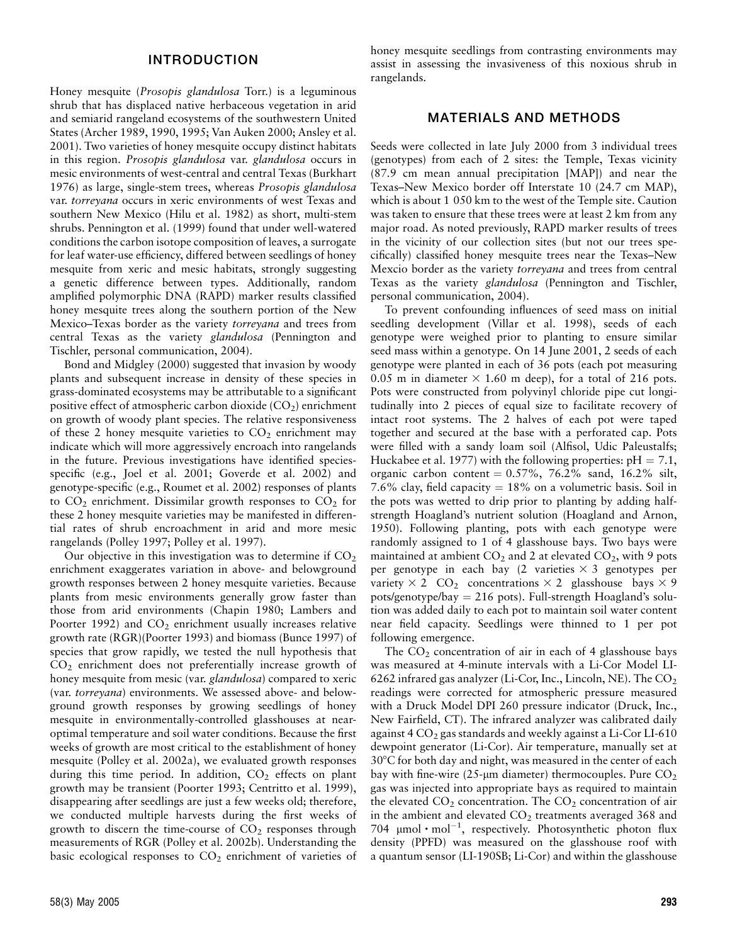### INTRODUCTION

Honey mesquite (Prosopis glandulosa Torr.) is a leguminous shrub that has displaced native herbaceous vegetation in arid and semiarid rangeland ecosystems of the southwestern United States (Archer 1989, 1990, 1995; Van Auken 2000; Ansley et al. 2001). Two varieties of honey mesquite occupy distinct habitats in this region. Prosopis glandulosa var. glandulosa occurs in mesic environments of west-central and central Texas (Burkhart 1976) as large, single-stem trees, whereas Prosopis glandulosa var. torreyana occurs in xeric environments of west Texas and southern New Mexico (Hilu et al. 1982) as short, multi-stem shrubs. Pennington et al. (1999) found that under well-watered conditions the carbon isotope composition of leaves, a surrogate for leaf water-use efficiency, differed between seedlings of honey mesquite from xeric and mesic habitats, strongly suggesting a genetic difference between types. Additionally, random amplified polymorphic DNA (RAPD) marker results classified honey mesquite trees along the southern portion of the New Mexico–Texas border as the variety torreyana and trees from central Texas as the variety glandulosa (Pennington and Tischler, personal communication, 2004).

Bond and Midgley (2000) suggested that invasion by woody plants and subsequent increase in density of these species in grass-dominated ecosystems may be attributable to a significant positive effect of atmospheric carbon dioxide  $(CO<sub>2</sub>)$  enrichment on growth of woody plant species. The relative responsiveness of these 2 honey mesquite varieties to  $CO<sub>2</sub>$  enrichment may indicate which will more aggressively encroach into rangelands in the future. Previous investigations have identified speciesspecific (e.g., Joel et al. 2001; Goverde et al. 2002) and genotype-specific (e.g., Roumet et al. 2002) responses of plants to  $CO<sub>2</sub>$  enrichment. Dissimilar growth responses to  $CO<sub>2</sub>$  for these 2 honey mesquite varieties may be manifested in differential rates of shrub encroachment in arid and more mesic rangelands (Polley 1997; Polley et al. 1997).

Our objective in this investigation was to determine if  $CO<sub>2</sub>$ enrichment exaggerates variation in above- and belowground growth responses between 2 honey mesquite varieties. Because plants from mesic environments generally grow faster than those from arid environments (Chapin 1980; Lambers and Poorter 1992) and  $CO<sub>2</sub>$  enrichment usually increases relative growth rate (RGR)(Poorter 1993) and biomass (Bunce 1997) of species that grow rapidly, we tested the null hypothesis that  $CO<sub>2</sub>$  enrichment does not preferentially increase growth of honey mesquite from mesic (var. *glandulosa*) compared to xeric (var. torreyana) environments. We assessed above- and belowground growth responses by growing seedlings of honey mesquite in environmentally-controlled glasshouses at nearoptimal temperature and soil water conditions. Because the first weeks of growth are most critical to the establishment of honey mesquite (Polley et al. 2002a), we evaluated growth responses during this time period. In addition,  $CO<sub>2</sub>$  effects on plant growth may be transient (Poorter 1993; Centritto et al. 1999), disappearing after seedlings are just a few weeks old; therefore, we conducted multiple harvests during the first weeks of growth to discern the time-course of  $CO<sub>2</sub>$  responses through measurements of RGR (Polley et al. 2002b). Understanding the basic ecological responses to  $CO<sub>2</sub>$  enrichment of varieties of

honey mesquite seedlings from contrasting environments may assist in assessing the invasiveness of this noxious shrub in rangelands.

### MATERIALS AND METHODS

Seeds were collected in late July 2000 from 3 individual trees (genotypes) from each of 2 sites: the Temple, Texas vicinity (87.9 cm mean annual precipitation [MAP]) and near the Texas–New Mexico border off Interstate 10 (24.7 cm MAP), which is about 1 050 km to the west of the Temple site. Caution was taken to ensure that these trees were at least 2 km from any major road. As noted previously, RAPD marker results of trees in the vicinity of our collection sites (but not our trees specifically) classified honey mesquite trees near the Texas–New Mexcio border as the variety torreyana and trees from central Texas as the variety glandulosa (Pennington and Tischler, personal communication, 2004).

To prevent confounding influences of seed mass on initial seedling development (Villar et al. 1998), seeds of each genotype were weighed prior to planting to ensure similar seed mass within a genotype. On 14 June 2001, 2 seeds of each genotype were planted in each of 36 pots (each pot measuring 0.05 m in diameter  $\times$  1.60 m deep), for a total of 216 pots. Pots were constructed from polyvinyl chloride pipe cut longitudinally into 2 pieces of equal size to facilitate recovery of intact root systems. The 2 halves of each pot were taped together and secured at the base with a perforated cap. Pots were filled with a sandy loam soil (Alfisol, Udic Paleustalfs; Huckabee et al. 1977) with the following properties:  $pH = 7.1$ , organic carbon content  $= 0.57\%$ , 76.2% sand, 16.2% silt, 7.6% clay, field capacity  $= 18\%$  on a volumetric basis. Soil in the pots was wetted to drip prior to planting by adding halfstrength Hoagland's nutrient solution (Hoagland and Arnon, 1950). Following planting, pots with each genotype were randomly assigned to 1 of 4 glasshouse bays. Two bays were maintained at ambient  $CO_2$  and 2 at elevated  $CO_2$ , with 9 pots per genotype in each bay  $(2 \text{ varieties} \times 3 \text{ genotypes per})$ variety  $\times$  2 CO<sub>2</sub> concentrations  $\times$  2 glasshouse bays  $\times$  9 pots/genotype/bay  $= 216$  pots). Full-strength Hoagland's solution was added daily to each pot to maintain soil water content near field capacity. Seedlings were thinned to 1 per pot following emergence.

The  $CO<sub>2</sub>$  concentration of air in each of 4 glasshouse bays was measured at 4-minute intervals with a Li-Cor Model LI-6262 infrared gas analyzer (Li-Cor, Inc., Lincoln, NE). The  $CO<sub>2</sub>$ readings were corrected for atmospheric pressure measured with a Druck Model DPI 260 pressure indicator (Druck, Inc., New Fairfield, CT). The infrared analyzer was calibrated daily against  $4 \text{ CO}_2$  gas standards and weekly against a Li-Cor LI-610 dewpoint generator (Li-Cor). Air temperature, manually set at  $30^{\circ}$ C for both day and night, was measured in the center of each bay with fine-wire  $(25-\mu m)$  diameter) thermocouples. Pure  $CO<sub>2</sub>$ gas was injected into appropriate bays as required to maintain the elevated  $CO<sub>2</sub>$  concentration. The  $CO<sub>2</sub>$  concentration of air in the ambient and elevated  $CO<sub>2</sub>$  treatments averaged 368 and 704  $\mu$ mol·mol<sup>-1</sup>, respectively. Photosynthetic photon flux density (PPFD) was measured on the glasshouse roof with a quantum sensor (LI-190SB; Li-Cor) and within the glasshouse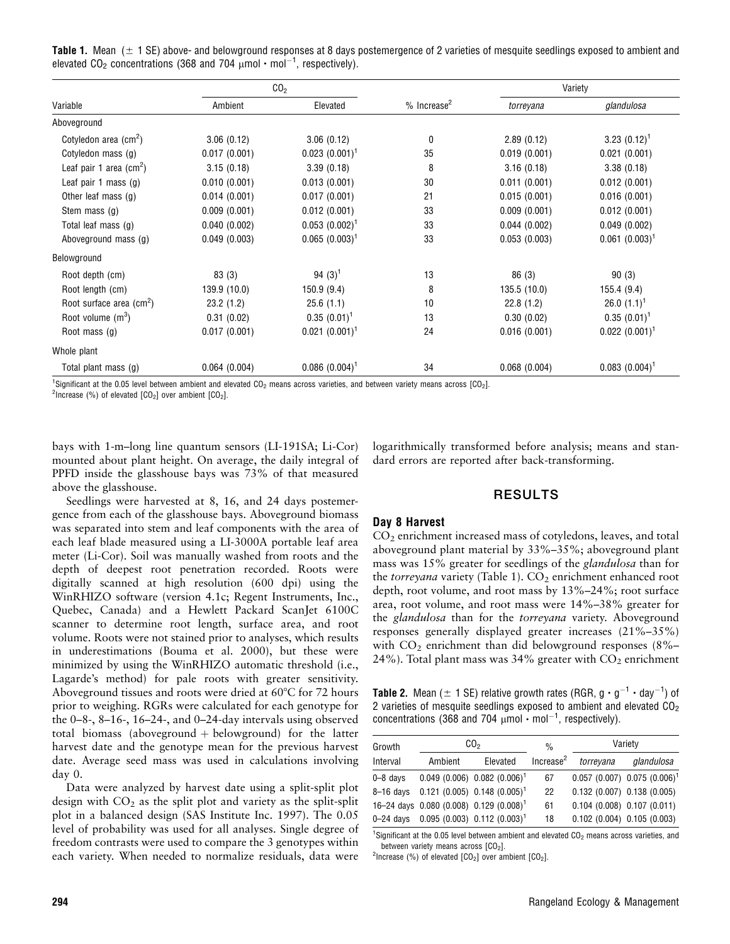**Table 1.** Mean  $(\pm 1 \text{ SE})$  above- and belowground responses at 8 days postemergence of 2 varieties of mesquite seedlings exposed to ambient and elevated CO<sub>2</sub> concentrations (368 and 704  $\mu$ mol  $\cdot$  mol $^{-1}$ , respectively).

| Variable                                 | CO <sub>2</sub> |                     |                           | Variety      |                     |
|------------------------------------------|-----------------|---------------------|---------------------------|--------------|---------------------|
|                                          | Ambient         | Elevated            | $%$ Increase <sup>2</sup> | torreyana    | glandulosa          |
| Aboveground                              |                 |                     |                           |              |                     |
| Cotyledon area (cm <sup>2</sup> )        | 3.06(0.12)      | 3.06(0.12)          | 0                         | 2.89(0.12)   | 3.23 $(0.12)^1$     |
| Cotyledon mass (g)                       | 0.017(0.001)    | $0.023$ $(0.001)^1$ | 35                        | 0.019(0.001) | 0.021(0.001)        |
| Leaf pair 1 area (cm <sup>2</sup> )      | 3.15(0.18)      | 3.39(0.18)          | 8                         | 3.16(0.18)   | 3.38(0.18)          |
| Leaf pair 1 mass $(g)$                   | 0.010(0.001)    | 0.013(0.001)        | 30                        | 0.011(0.001) | 0.012(0.001)        |
| Other leaf mass $(g)$                    | 0.014(0.001)    | 0.017(0.001)        | 21                        | 0.015(0.001) | 0.016(0.001)        |
| Stem mass (g)                            | 0.009(0.001)    | 0.012(0.001)        | 33                        | 0.009(0.001) | 0.012(0.001)        |
| Total leaf mass (g)                      | 0.040(0.002)    | $0.053(0.002)^1$    | 33                        | 0.044(0.002) | 0.049(0.002)        |
| Aboveground mass (g)                     | 0.049(0.003)    | $0.065~(0.003)^1$   | 33                        | 0.053(0.003) | $0.061~(0.003)^1$   |
| Belowground                              |                 |                     |                           |              |                     |
| Root depth (cm)                          | 83(3)           | 94 $(3)^{1}$        | 13                        | 86 (3)       | 90(3)               |
| Root length (cm)                         | 139.9 (10.0)    | 150.9(9.4)          | 8                         | 135.5(10.0)  | 155.4(9.4)          |
| Root surface area $\text{(cm}^2\text{)}$ | 23.2(1.2)       | 25.6(1.1)           | 10                        | 22.8(1.2)    | 26.0 $(1.1)^1$      |
| Root volume $(m^3)$                      | 0.31(0.02)      | $0.35(0.01)^1$      | 13                        | 0.30(0.02)   | $0.35(0.01)^1$      |
| Root mass $(q)$                          | 0.017(0.001)    | $0.021 (0.001)^1$   | 24                        | 0.016(0.001) | $0.022$ $(0.001)^1$ |
| Whole plant                              |                 |                     |                           |              |                     |
| Total plant mass (g)                     | 0.064(0.004)    | $0.086~(0.004)^1$   | 34                        | 0.068(0.004) | $0.083$ $(0.004)^1$ |

<sup>1</sup>Significant at the 0.05 level between ambient and elevated CO<sub>2</sub> means across varieties, and between variety means across [CO<sub>2</sub>].<br><sup>2</sup>Iperaase (%) of elevated LCO-1 over ambient LCO-1

<sup>2</sup>Increase (%) of elevated  $[CO<sub>2</sub>]$  over ambient  $[CO<sub>2</sub>]$ .

bays with 1-m–long line quantum sensors (LI-191SA; Li-Cor) mounted about plant height. On average, the daily integral of PPFD inside the glasshouse bays was 73% of that measured above the glasshouse.

logarithmically transformed before analysis; means and standard errors are reported after back-transforming.

# RESULTS

Seedlings were harvested at 8, 16, and 24 days postemergence from each of the glasshouse bays. Aboveground biomass was separated into stem and leaf components with the area of each leaf blade measured using a LI-3000A portable leaf area meter (Li-Cor). Soil was manually washed from roots and the depth of deepest root penetration recorded. Roots were digitally scanned at high resolution (600 dpi) using the WinRHIZO software (version 4.1c; Regent Instruments, Inc., Quebec, Canada) and a Hewlett Packard ScanJet 6100C scanner to determine root length, surface area, and root volume. Roots were not stained prior to analyses, which results in underestimations (Bouma et al. 2000), but these were minimized by using the WinRHIZO automatic threshold (i.e., Lagarde's method) for pale roots with greater sensitivity. Aboveground tissues and roots were dried at  $60^{\circ}$ C for 72 hours prior to weighing. RGRs were calculated for each genotype for the 0–8-, 8–16-, 16–24-, and 0–24-day intervals using observed total biomass (aboveground  $+$  belowground) for the latter harvest date and the genotype mean for the previous harvest date. Average seed mass was used in calculations involving day 0.

### Data were analyzed by harvest date using a split-split plot design with  $CO<sub>2</sub>$  as the split plot and variety as the split-split plot in a balanced design (SAS Institute Inc. 1997). The 0.05 level of probability was used for all analyses. Single degree of freedom contrasts were used to compare the 3 genotypes within each variety. When needed to normalize residuals, data were

# Day 8 Harvest

CO2 enrichment increased mass of cotyledons, leaves, and total aboveground plant material by 33%–35%; aboveground plant mass was 15% greater for seedlings of the glandulosa than for the torreyana variety (Table 1).  $CO<sub>2</sub>$  enrichment enhanced root depth, root volume, and root mass by 13%–24%; root surface area, root volume, and root mass were 14%–38% greater for the glandulosa than for the torreyana variety. Aboveground responses generally displayed greater increases (21%–35%) with  $CO<sub>2</sub>$  enrichment than did belowground responses (8%– 24%). Total plant mass was 34% greater with  $CO<sub>2</sub>$  enrichment

**Table 2.** Mean ( $\pm$  1 SE) relative growth rates (RGR, g  $\cdot$  g<sup>-1</sup>  $\cdot$  day<sup>-1</sup>) of 2 varieties of mesquite seedlings exposed to ambient and elevated  $CO<sub>2</sub>$ concentrations (368 and 704  $\mu$ mol  $\cdot$  mol<sup>-1</sup>, respectively).

| Growth       | CO <sub>2</sub> |                                                     | $\frac{0}{0}$         | Variety                       |                                  |  |
|--------------|-----------------|-----------------------------------------------------|-----------------------|-------------------------------|----------------------------------|--|
| Interval     | Ambient         | Elevated                                            | Increase <sup>2</sup> | torreyana                     | glandulosa                       |  |
| $0 - 8$ days |                 | $0.049(0.006) 0.082(0.006)^1$                       | 67                    |                               | $0.057(0.007)$ 0.075 $(0.006)^1$ |  |
|              |                 | 8-16 days 0.121 (0.005) 0.148 (0.005) <sup>1</sup>  | 22                    | $0.132(0.007)$ $0.138(0.005)$ |                                  |  |
|              |                 | 16-24 days 0.080 (0.008) 0.129 (0.008) <sup>1</sup> | 61                    | 0.104(0.008) 0.107(0.011)     |                                  |  |
|              |                 | 0-24 days 0.095 (0.003) 0.112 (0.003) <sup>1</sup>  | 18                    | $0.102(0.004)$ $0.105(0.003)$ |                                  |  |

<sup>1</sup>Significant at the 0.05 level between ambient and elevated  $CO<sub>2</sub>$  means across varieties, and between variety means across  $[CO<sub>2</sub>]$ .

<sup>2</sup>Increase (%) of elevated  $[CO<sub>2</sub>]$  over ambient  $[CO<sub>2</sub>]$ .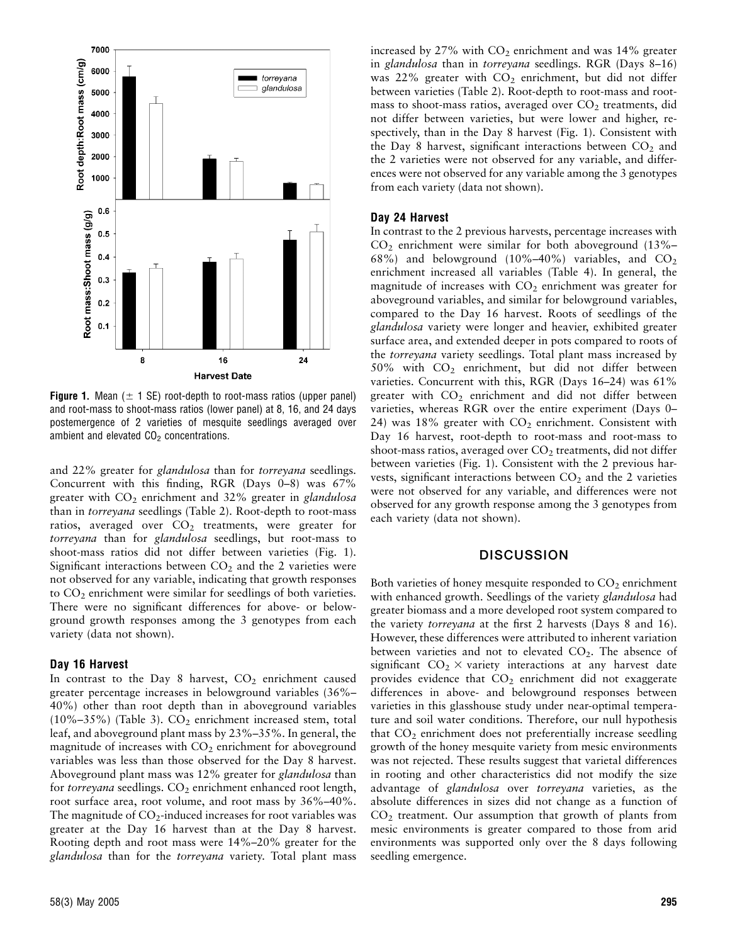

**Figure 1.** Mean ( $\pm$  1 SE) root-depth to root-mass ratios (upper panel) and root-mass to shoot-mass ratios (lower panel) at 8, 16, and 24 days postemergence of 2 varieties of mesquite seedlings averaged over ambient and elevated  $CO<sub>2</sub>$  concentrations.

and 22% greater for glandulosa than for torreyana seedlings. Concurrent with this finding, RGR (Days 0–8) was 67% greater with  $CO<sub>2</sub>$  enrichment and 32% greater in glandulosa than in torreyana seedlings (Table 2). Root-depth to root-mass ratios, averaged over  $CO<sub>2</sub>$  treatments, were greater for torreyana than for glandulosa seedlings, but root-mass to shoot-mass ratios did not differ between varieties (Fig. 1). Significant interactions between  $CO<sub>2</sub>$  and the 2 varieties were not observed for any variable, indicating that growth responses to  $CO<sub>2</sub>$  enrichment were similar for seedlings of both varieties. There were no significant differences for above- or belowground growth responses among the 3 genotypes from each variety (data not shown).

#### Day 16 Harvest

In contrast to the Day 8 harvest,  $CO<sub>2</sub>$  enrichment caused greater percentage increases in belowground variables (36%– 40%) other than root depth than in aboveground variables (10%–35%) (Table 3).  $CO<sub>2</sub>$  enrichment increased stem, total leaf, and aboveground plant mass by 23%–35%. In general, the magnitude of increases with CO<sub>2</sub> enrichment for aboveground variables was less than those observed for the Day 8 harvest. Aboveground plant mass was 12% greater for glandulosa than for torreyana seedlings.  $CO<sub>2</sub>$  enrichment enhanced root length, root surface area, root volume, and root mass by 36%–40%. The magnitude of  $CO<sub>2</sub>$ -induced increases for root variables was greater at the Day 16 harvest than at the Day 8 harvest. Rooting depth and root mass were 14%–20% greater for the glandulosa than for the torreyana variety. Total plant mass

increased by  $27\%$  with  $CO<sub>2</sub>$  enrichment and was  $14\%$  greater in glandulosa than in torreyana seedlings. RGR (Days 8–16) was 22% greater with  $CO<sub>2</sub>$  enrichment, but did not differ between varieties (Table 2). Root-depth to root-mass and rootmass to shoot-mass ratios, averaged over  $CO<sub>2</sub>$  treatments, did not differ between varieties, but were lower and higher, respectively, than in the Day 8 harvest (Fig. 1). Consistent with the Day 8 harvest, significant interactions between  $CO<sub>2</sub>$  and the 2 varieties were not observed for any variable, and differences were not observed for any variable among the 3 genotypes from each variety (data not shown).

### Day 24 Harvest

In contrast to the 2 previous harvests, percentage increases with  $CO<sub>2</sub>$  enrichment were similar for both aboveground (13%– 68%) and belowground  $(10\%-40\%)$  variables, and  $CO<sub>2</sub>$ enrichment increased all variables (Table 4). In general, the magnitude of increases with  $CO<sub>2</sub>$  enrichment was greater for aboveground variables, and similar for belowground variables, compared to the Day 16 harvest. Roots of seedlings of the glandulosa variety were longer and heavier, exhibited greater surface area, and extended deeper in pots compared to roots of the *torreyana* variety seedlings. Total plant mass increased by 50% with CO2 enrichment, but did not differ between varieties. Concurrent with this, RGR (Days 16–24) was 61% greater with  $CO<sub>2</sub>$  enrichment and did not differ between varieties, whereas RGR over the entire experiment (Days 0– 24) was 18% greater with  $CO<sub>2</sub>$  enrichment. Consistent with Day 16 harvest, root-depth to root-mass and root-mass to shoot-mass ratios, averaged over  $CO<sub>2</sub>$  treatments, did not differ between varieties (Fig. 1). Consistent with the 2 previous harvests, significant interactions between  $CO<sub>2</sub>$  and the 2 varieties were not observed for any variable, and differences were not observed for any growth response among the 3 genotypes from each variety (data not shown).

### **DISCUSSION**

Both varieties of honey mesquite responded to  $CO<sub>2</sub>$  enrichment with enhanced growth. Seedlings of the variety glandulosa had greater biomass and a more developed root system compared to the variety torreyana at the first 2 harvests (Days 8 and 16). However, these differences were attributed to inherent variation between varieties and not to elevated  $CO<sub>2</sub>$ . The absence of significant  $CO_2 \times$  variety interactions at any harvest date provides evidence that  $CO<sub>2</sub>$  enrichment did not exaggerate differences in above- and belowground responses between varieties in this glasshouse study under near-optimal temperature and soil water conditions. Therefore, our null hypothesis that CO<sub>2</sub> enrichment does not preferentially increase seedling growth of the honey mesquite variety from mesic environments was not rejected. These results suggest that varietal differences in rooting and other characteristics did not modify the size advantage of glandulosa over torreyana varieties, as the absolute differences in sizes did not change as a function of  $CO<sub>2</sub>$  treatment. Our assumption that growth of plants from mesic environments is greater compared to those from arid environments was supported only over the 8 days following seedling emergence.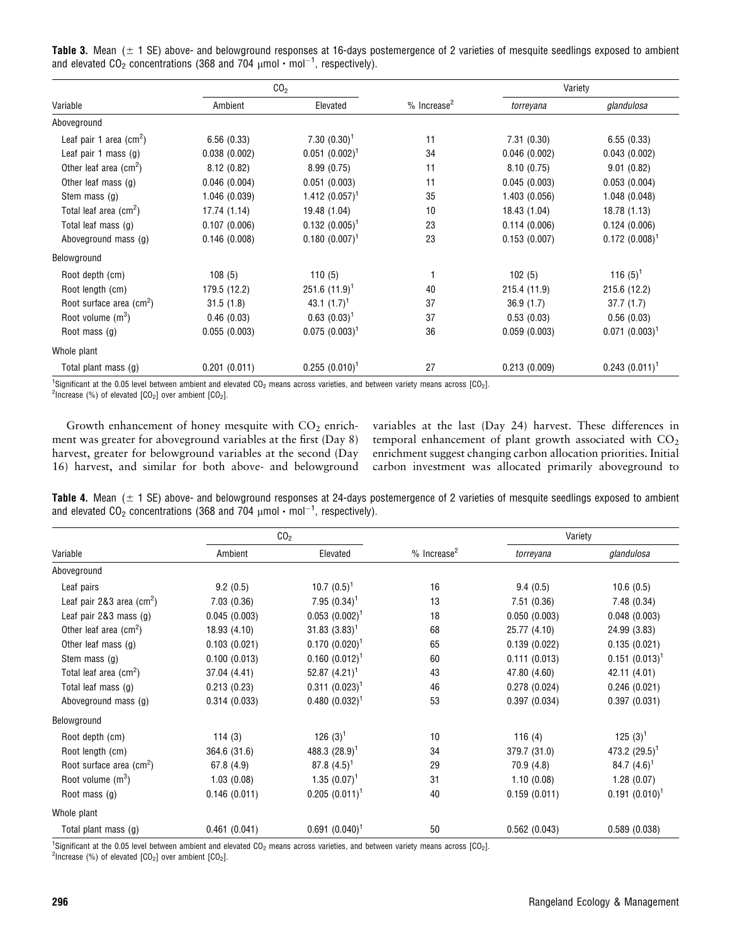Table 3. Mean  $(± 1 SE)$  above- and belowground responses at 16-days postemergence of 2 varieties of mesquite seedlings exposed to ambient and elevated CO<sub>2</sub> concentrations (368 and 704  $\mu$ mol  $\cdot$  mol $^{-1}$ , respectively).

| Variable                                | CO <sub>2</sub> |                   |                           | Variety       |                   |
|-----------------------------------------|-----------------|-------------------|---------------------------|---------------|-------------------|
|                                         | Ambient         | Elevated          | $%$ Increase <sup>2</sup> | torreyana     | glandulosa        |
| Aboveground                             |                 |                   |                           |               |                   |
| Leaf pair 1 area $\text{(cm}^2\text{)}$ | 6.56(0.33)      | $7.30~(0.30)^1$   | 11                        | 7.31(0.30)    | 6.55(0.33)        |
| Leaf pair 1 mass $(g)$                  | 0.038(0.002)    | $0.051~(0.002)^1$ | 34                        | 0.046(0.002)  | 0.043(0.002)      |
| Other leaf area $(cm2)$                 | 8.12(0.82)      | 8.99(0.75)        | 11                        | 8.10(0.75)    | 9.01(0.82)        |
| Other leaf mass $(g)$                   | 0.046(0.004)    | 0.051(0.003)      | 11                        | 0.045(0.003)  | 0.053(0.004)      |
| Stem mass (g)                           | 1.046 (0.039)   | 1.412 $(0.057)^1$ | 35                        | 1.403 (0.056) | 1.048(0.048)      |
| Total leaf area $\text{(cm}^2\text{)}$  | 17.74 (1.14)    | 19.48 (1.04)      | 10                        | 18.43 (1.04)  | 18.78 (1.13)      |
| Total leaf mass (g)                     | 0.107(0.006)    | $0.132 (0.005)^1$ | 23                        | 0.114(0.006)  | 0.124(0.006)      |
| Aboveground mass (g)                    | 0.146(0.008)    | $0.180~(0.007)^1$ | 23                        | 0.153(0.007)  | $0.172(0.008)^1$  |
| Belowground                             |                 |                   |                           |               |                   |
| Root depth (cm)                         | 108(5)          | 110(5)            |                           | 102(5)        | 116 $(5)^1$       |
| Root length (cm)                        | 179.5 (12.2)    | $251.6(11.9)^1$   | 40                        | 215.4 (11.9)  | 215.6 (12.2)      |
| Root surface area (cm <sup>2</sup> )    | 31.5(1.8)       | 43.1 $(1.7)^1$    | 37                        | 36.9(1.7)     | 37.7(1.7)         |
| Root volume $(m^3)$                     | 0.46(0.03)      | $0.63(0.03)^1$    | 37                        | 0.53(0.03)    | 0.56(0.03)        |
| Root mass $(q)$                         | 0.055(0.003)    | $0.075(0.003)^1$  | 36                        | 0.059(0.003)  | $0.071~(0.003)^1$ |
| Whole plant                             |                 |                   |                           |               |                   |
| Total plant mass (g)                    | 0.201(0.011)    | $0.255(0.010)^1$  | 27                        | 0.213(0.009)  | $0.243(0.011)^1$  |

<sup>1</sup>Significant at the 0.05 level between ambient and elevated CO<sub>2</sub> means across varieties, and between variety means across [CO<sub>2</sub>].<br><sup>2</sup>Increase (%) of elevated ICO-1 over ambient ICO-1 <sup>2</sup>Increase (%) of elevated  $[CO<sub>2</sub>]$  over ambient  $[CO<sub>2</sub>]$ .

Growth enhancement of honey mesquite with  $CO<sub>2</sub>$  enrichment was greater for aboveground variables at the first (Day 8) harvest, greater for belowground variables at the second (Day 16) harvest, and similar for both above- and belowground

variables at the last (Day 24) harvest. These differences in temporal enhancement of plant growth associated with  $CO<sub>2</sub>$ enrichment suggest changing carbon allocation priorities. Initial carbon investment was allocated primarily aboveground to

Table 4. Mean  $(± 1 SE)$  above- and belowground responses at 24-days postemergence of 2 varieties of mesquite seedlings exposed to ambient and elevated CO<sub>2</sub> concentrations (368 and 704  $\mu$ mol  $\cdot$  mol $^{-1}$ , respectively).

| Variable                                  | CO <sub>2</sub> |                     |                           | Variety      |                   |
|-------------------------------------------|-----------------|---------------------|---------------------------|--------------|-------------------|
|                                           | Ambient         | Elevated            | $%$ Increase <sup>2</sup> | torreyana    | glandulosa        |
| Aboveground                               |                 |                     |                           |              |                   |
| Leaf pairs                                | 9.2(0.5)        | 10.7 $(0.5)^1$      | 16                        | 9.4(0.5)     | 10.6(0.5)         |
| Leaf pair 2&3 area $\text{(cm}^2\text{)}$ | 7.03(0.36)      | $7.95(0.34)^1$      | 13                        | 7.51(0.36)   | 7.48(0.34)        |
| Leaf pair 2&3 mass (g)                    | 0.045(0.003)    | $0.053$ $(0.002)^1$ | 18                        | 0.050(0.003) | 0.048(0.003)      |
| Other leaf area $\text{(cm}^2\text{)}$    | 18.93 (4.10)    | $31.83(3.83)^1$     | 68                        | 25.77 (4.10) | 24.99 (3.83)      |
| Other leaf mass (g)                       | 0.103(0.021)    | $0.170~(0.020)^1$   | 65                        | 0.139(0.022) | 0.135(0.021)      |
| Stem mass (g)                             | 0.100(0.013)    | $0.160~(0.012)^1$   | 60                        | 0.111(0.013) | $0.151 (0.013)^1$ |
| Total leaf area $(cm2)$                   | 37.04 (4.41)    | 52.87 $(4.21)^1$    | 43                        | 47.80 (4.60) | 42.11 (4.01)      |
| Total leaf mass (g)                       | 0.213(0.23)     | $0.311 (0.023)^1$   | 46                        | 0.278(0.024) | 0.246(0.021)      |
| Aboveground mass (g)                      | 0.314(0.033)    | $0.480~(0.032)^1$   | 53                        | 0.397(0.034) | 0.397(0.031)      |
| Belowground                               |                 |                     |                           |              |                   |
| Root depth (cm)                           | 114(3)          | 126 $(3)^{1}$       | 10                        | 116 $(4)$    | 125 $(3)^1$       |
| Root length (cm)                          | 364.6 (31.6)    | 488.3 $(28.9)^1$    | 34                        | 379.7 (31.0) | 473.2 $(29.5)^1$  |
| Root surface area $\text{(cm}^2\text{)}$  | 67.8 (4.9)      | 87.8 $(4.5)^1$      | 29                        | 70.9 (4.8)   | 84.7 $(4.6)^1$    |
| Root volume $(m^3)$                       | 1.03(0.08)      | $1.35(0.07)^1$      | 31                        | 1.10(0.08)   | 1.28(0.07)        |
| Root mass $(q)$                           | 0.146(0.011)    | $0.205(0.011)^1$    | 40                        | 0.159(0.011) | $0.191 (0.010)^1$ |
| Whole plant                               |                 |                     |                           |              |                   |
| Total plant mass (g)                      | 0.461(0.041)    | $0.691(0.040)^1$    | 50                        | 0.562(0.043) | 0.589(0.038)      |

<sup>1</sup>Significant at the 0.05 level between ambient and elevated CO<sub>2</sub> means across varieties, and between variety means across [CO<sub>2</sub>].<br><sup>2</sup>Iperases (%) of elevated LCO-1 over ambient LCO-1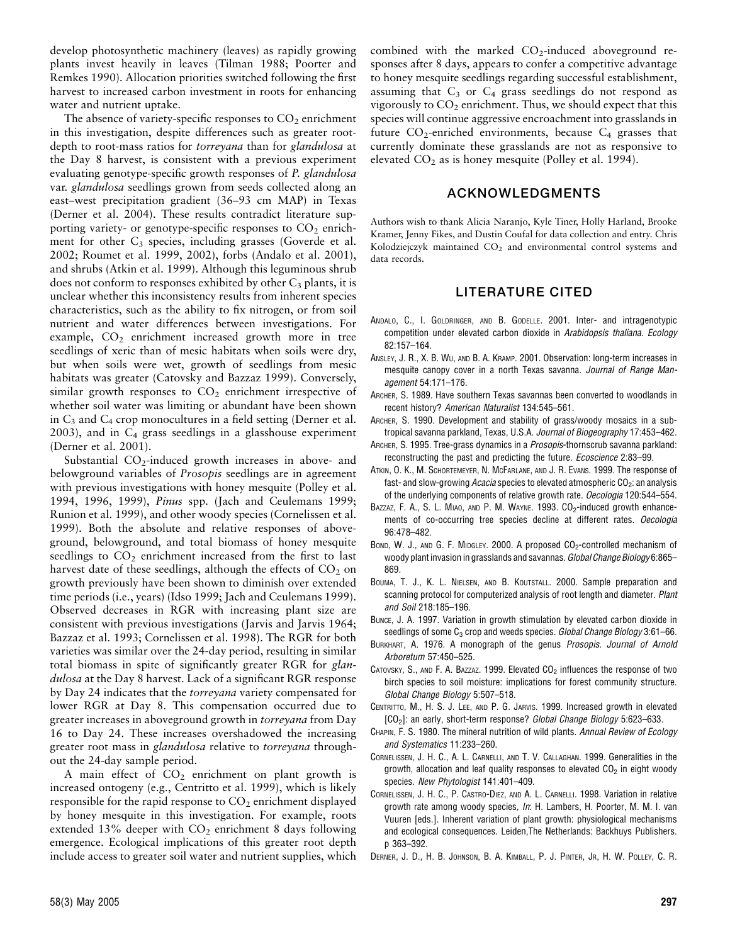develop photosynthetic machinery (leaves) as rapidly growing plants invest heavily in leaves (Tilman 1988; Poorter and Remkes 1990). Allocation priorities switched following the first harvest to increased carbon investment in roots for enhancing water and nutrient uptake.

The absence of variety-specific responses to  $CO<sub>2</sub>$  enrichment in this investigation, despite differences such as greater rootdepth to root-mass ratios for *torreyana* than for *glandulosa* at the Day 8 harvest, is consistent with a previous experiment evaluating genotype-specific growth responses of P. glandulosa var. glandulosa seedlings grown from seeds collected along an east–west precipitation gradient (36–93 cm MAP) in Texas (Derner et al. 2004). These results contradict literature supporting variety- or genotype-specific responses to  $CO<sub>2</sub>$  enrichment for other  $C_3$  species, including grasses (Goverde et al. 2002; Roumet et al. 1999, 2002), forbs (Andalo et al. 2001), and shrubs (Atkin et al. 1999). Although this leguminous shrub does not conform to responses exhibited by other  $C_3$  plants, it is unclear whether this inconsistency results from inherent species characteristics, such as the ability to fix nitrogen, or from soil nutrient and water differences between investigations. For example, CO<sub>2</sub> enrichment increased growth more in tree seedlings of xeric than of mesic habitats when soils were dry, but when soils were wet, growth of seedlings from mesic habitats was greater (Catovsky and Bazzaz 1999). Conversely, similar growth responses to  $CO<sub>2</sub>$  enrichment irrespective of whether soil water was limiting or abundant have been shown in  $C_3$  and  $C_4$  crop monocultures in a field setting (Derner et al.  $2003$ ), and in  $C_4$  grass seedlings in a glasshouse experiment (Derner et al. 2001).

Substantial  $CO_2$ -induced growth increases in above- and belowground variables of Prosopis seedlings are in agreement with previous investigations with honey mesquite (Polley et al. 1994, 1996, 1999), Pinus spp. (Jach and Ceulemans 1999; Runion et al. 1999), and other woody species (Cornelissen et al. 1999). Both the absolute and relative responses of aboveground, belowground, and total biomass of honey mesquite seedlings to  $CO<sub>2</sub>$  enrichment increased from the first to last harvest date of these seedlings, although the effects of  $CO<sub>2</sub>$  on growth previously have been shown to diminish over extended time periods (i.e., years) (Idso 1999; Jach and Ceulemans 1999). Observed decreases in RGR with increasing plant size are consistent with previous investigations (Jarvis and Jarvis 1964; Bazzaz et al. 1993; Cornelissen et al. 1998). The RGR for both varieties was similar over the 24-day period, resulting in similar total biomass in spite of significantly greater RGR for glandulosa at the Day 8 harvest. Lack of a significant RGR response by Day 24 indicates that the torreyana variety compensated for lower RGR at Day 8. This compensation occurred due to greater increases in aboveground growth in torreyana from Day 16 to Day 24. These increases overshadowed the increasing greater root mass in glandulosa relative to torreyana throughout the 24-day sample period.

A main effect of  $CO<sub>2</sub>$  enrichment on plant growth is increased ontogeny (e.g., Centritto et al. 1999), which is likely responsible for the rapid response to  $CO<sub>2</sub>$  enrichment displayed by honey mesquite in this investigation. For example, roots extended 13% deeper with  $CO<sub>2</sub>$  enrichment 8 days following emergence. Ecological implications of this greater root depth include access to greater soil water and nutrient supplies, which combined with the marked  $CO<sub>2</sub>$ -induced aboveground responses after 8 days, appears to confer a competitive advantage to honey mesquite seedlings regarding successful establishment, assuming that  $C_3$  or  $C_4$  grass seedlings do not respond as vigorously to  $CO<sub>2</sub>$  enrichment. Thus, we should expect that this species will continue aggressive encroachment into grasslands in future  $CO_2$ -enriched environments, because  $C_4$  grasses that currently dominate these grasslands are not as responsive to elevated  $CO<sub>2</sub>$  as is honey mesquite (Polley et al. 1994).

### ACKNOWLEDGMENTS

Authors wish to thank Alicia Naranjo, Kyle Tiner, Holly Harland, Brooke Kramer, Jenny Fikes, and Dustin Coufal for data collection and entry. Chris Kolodziejczyk maintained CO<sub>2</sub> and environmental control systems and data records.

### LITERATURE CITED

- ANDALO, C., I. GOLDRINGER, AND B. GODELLE. 2001. Inter- and intragenotypic competition under elevated carbon dioxide in Arabidopsis thaliana. Ecology 82:157–164.
- ANSLEY, J. R., X. B. WU, AND B. A. KRAMP. 2001. Observation: long-term increases in mesquite canopy cover in a north Texas savanna. Journal of Range Management 54:171–176.
- ARCHER, S. 1989. Have southern Texas savannas been converted to woodlands in recent history? American Naturalist 134:545–561.
- ARCHER, S. 1990. Development and stability of grass/woody mosaics in a subtropical savanna parkland, Texas, U.S.A. Journal of Biogeography 17:453-462.
- ARCHER, S. 1995. Tree-grass dynamics in a *Prosopis*-thornscrub savanna parkland: reconstructing the past and predicting the future. *Ecoscience* 2:83-99.
- ATKIN, O. K., M. SCHORTEMEYER, N. MCFARLANE, AND J. R. EVANS. 1999. The response of fast- and slow-growing Acacia species to elevated atmospheric  $CO<sub>2</sub>$ : an analysis of the underlying components of relative growth rate. Oecologia 120:544-554.
- BAZZAZ, F. A., S. L. MIAO, AND P. M. WAYNE. 1993. CO<sub>2</sub>-induced growth enhancements of co-occurring tree species decline at different rates. Oecologia 96:478–482.
- BOND, W. J., AND G. F. MIDGLEY. 2000. A proposed  $CO<sub>2</sub>$ -controlled mechanism of woody plant invasion in grasslands and savannas. Global Change Biology 6:865-869.
- BOUMA, T. J., K. L. NIELSEN, AND B. KOUTSTALL. 2000. Sample preparation and scanning protocol for computerized analysis of root length and diameter. Plant and Soil 218:185–196.
- BUNCE, J. A. 1997. Variation in growth stimulation by elevated carbon dioxide in seedlings of some  $C_3$  crop and weeds species. Global Change Biology 3:61–66.
- BURKHART, A. 1976. A monograph of the genus Prosopis. Journal of Arnold Arboretum 57:450–525.
- CATOVSKY, S., AND F. A. BAZZAZ. 1999. Elevated  $CO<sub>2</sub>$  influences the response of two birch species to soil moisture: implications for forest community structure. Global Change Biology 5:507–518.
- CENTRITTO, M., H. S. J. LEE, AND P. G. JARVIS. 1999. Increased growth in elevated [CO<sub>2</sub>]: an early, short-term response? Global Change Biology 5:623-633.
- CHAPIN, F. S. 1980. The mineral nutrition of wild plants. Annual Review of Ecology and Systematics 11:233–260.
- CORNELISSEN, J. H. C., A. L. CARNELLI, AND T. V. CALLAGHAN. 1999. Generalities in the growth, allocation and leaf quality responses to elevated  $CO<sub>2</sub>$  in eight woody species. New Phytologist 141:401–409.
- CORNELISSEN, J. H. C., P. CASTRO-DIEZ, AND A. L. CARNELLI. 1998. Variation in relative growth rate among woody species, In: H. Lambers, H. Poorter, M. M. I. van Vuuren [eds.]. Inherent variation of plant growth: physiological mechanisms and ecological consequences. Leiden,The Netherlands: Backhuys Publishers. p 363–392.
- DERNER, J. D., H. B. JOHNSON, B. A. KIMBALL, P. J. PINTER, JR, H. W. POLLEY, C. R.